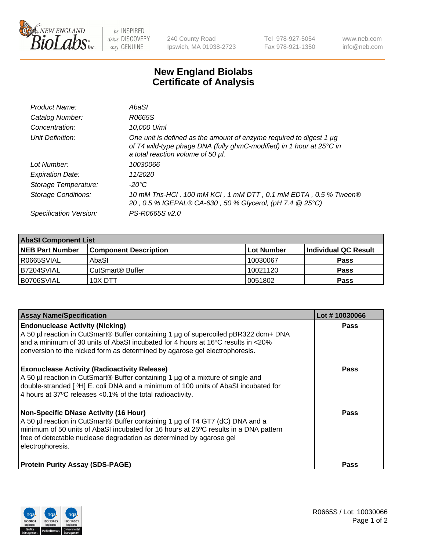

 $be$  INSPIRED drive DISCOVERY stay GENUINE

240 County Road Ipswich, MA 01938-2723 Tel 978-927-5054 Fax 978-921-1350 www.neb.com info@neb.com

## **New England Biolabs Certificate of Analysis**

| Product Name:           | AbaSI                                                                                                                                                                            |
|-------------------------|----------------------------------------------------------------------------------------------------------------------------------------------------------------------------------|
| Catalog Number:         | R0665S                                                                                                                                                                           |
| Concentration:          | 10,000 U/ml                                                                                                                                                                      |
| Unit Definition:        | One unit is defined as the amount of enzyme required to digest 1 µg<br>of T4 wild-type phage DNA (fully ghmC-modified) in 1 hour at 25°C in<br>a total reaction volume of 50 µl. |
| Lot Number:             | 10030066                                                                                                                                                                         |
| <b>Expiration Date:</b> | 11/2020                                                                                                                                                                          |
| Storage Temperature:    | $-20^{\circ}$ C                                                                                                                                                                  |
| Storage Conditions:     | 10 mM Tris-HCl, 100 mM KCl, 1 mM DTT, 0.1 mM EDTA, 0.5 % Tween®<br>20, 0.5 % IGEPAL® CA-630, 50 % Glycerol, (pH 7.4 @ 25°C)                                                      |
| Specification Version:  | PS-R0665S v2.0                                                                                                                                                                   |

| <b>AbaSI Component List</b> |                              |            |                      |  |  |
|-----------------------------|------------------------------|------------|----------------------|--|--|
| <b>NEB Part Number</b>      | <b>Component Description</b> | Lot Number | Individual QC Result |  |  |
| R0665SVIAL                  | AbaSI                        | 10030067   | <b>Pass</b>          |  |  |
| B7204SVIAL                  | CutSmart® Buffer             | 10021120   | <b>Pass</b>          |  |  |
| B0706SVIAL                  | 10X DTT                      | 10051802   | <b>Pass</b>          |  |  |

| <b>Assay Name/Specification</b>                                                                                                                                                                                                                                                                                   | Lot #10030066 |
|-------------------------------------------------------------------------------------------------------------------------------------------------------------------------------------------------------------------------------------------------------------------------------------------------------------------|---------------|
| <b>Endonuclease Activity (Nicking)</b><br>A 50 µl reaction in CutSmart® Buffer containing 1 µg of supercoiled pBR322 dcm+ DNA<br>and a minimum of 30 units of AbaSI incubated for 4 hours at 16°C results in <20%<br>conversion to the nicked form as determined by agarose gel electrophoresis.                  | <b>Pass</b>   |
| <b>Exonuclease Activity (Radioactivity Release)</b><br>A 50 µl reaction in CutSmart® Buffer containing 1 µg of a mixture of single and<br>double-stranded [3H] E. coli DNA and a minimum of 100 units of AbaSI incubated for<br>4 hours at 37°C releases <0.1% of the total radioactivity.                        | <b>Pass</b>   |
| <b>Non-Specific DNase Activity (16 Hour)</b><br>A 50 µl reaction in CutSmart® Buffer containing 1 µg of T4 GT7 (dC) DNA and a<br>minimum of 50 units of AbaSI incubated for 16 hours at 25°C results in a DNA pattern<br>free of detectable nuclease degradation as determined by agarose gel<br>electrophoresis. | <b>Pass</b>   |
| <b>Protein Purity Assay (SDS-PAGE)</b>                                                                                                                                                                                                                                                                            | Pass          |